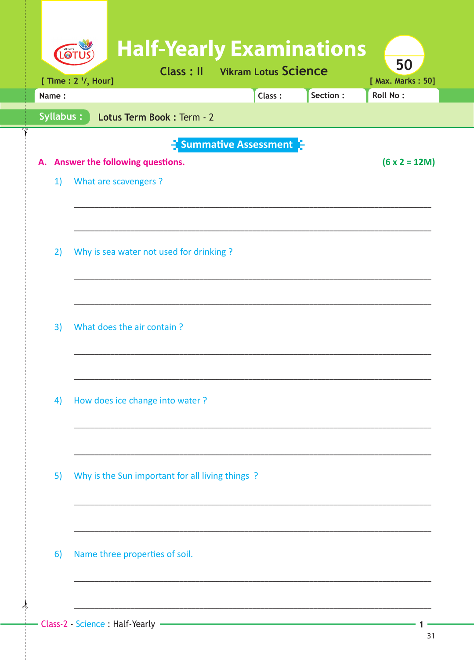| LOT       |                                | <b>Half-Yearly Examinations</b><br><b>Class: Il</b> Vikram Lotus Science |                        |          | 50                            |
|-----------|--------------------------------|--------------------------------------------------------------------------|------------------------|----------|-------------------------------|
| Name:     | [ Time : $2 \frac{1}{2}$ Hour] |                                                                          | Class:                 | Section: | [ Max. Marks: 50]<br>Roll No: |
| Syllabus: |                                | Lotus Term Book : Term - 2                                               |                        |          |                               |
|           |                                |                                                                          |                        |          |                               |
|           |                                | A. Answer the following questions.                                       | - Summative Assessment |          | $(6 \times 2 = 12M)$          |
| 1)        | What are scavengers ?          |                                                                          |                        |          |                               |
|           |                                |                                                                          |                        |          |                               |
|           |                                |                                                                          |                        |          |                               |
|           |                                |                                                                          |                        |          |                               |
| 2)        |                                | Why is sea water not used for drinking?                                  |                        |          |                               |
|           |                                |                                                                          |                        |          |                               |
|           |                                |                                                                          |                        |          |                               |
| 3)        |                                | What does the air contain?                                               |                        |          |                               |
|           |                                |                                                                          |                        |          |                               |
|           |                                |                                                                          |                        |          |                               |
|           |                                |                                                                          |                        |          |                               |
| 4)        |                                | How does ice change into water?                                          |                        |          |                               |
|           |                                |                                                                          |                        |          |                               |
|           |                                |                                                                          |                        |          |                               |
| 5)        |                                | Why is the Sun important for all living things?                          |                        |          |                               |
|           |                                |                                                                          |                        |          |                               |
|           |                                |                                                                          |                        |          |                               |
|           |                                |                                                                          |                        |          |                               |
| 6)        |                                | Name three properties of soil.                                           |                        |          |                               |
|           |                                |                                                                          |                        |          |                               |
|           |                                |                                                                          |                        |          |                               |
|           |                                |                                                                          |                        |          |                               |

 $\frac{1}{2}$ 

1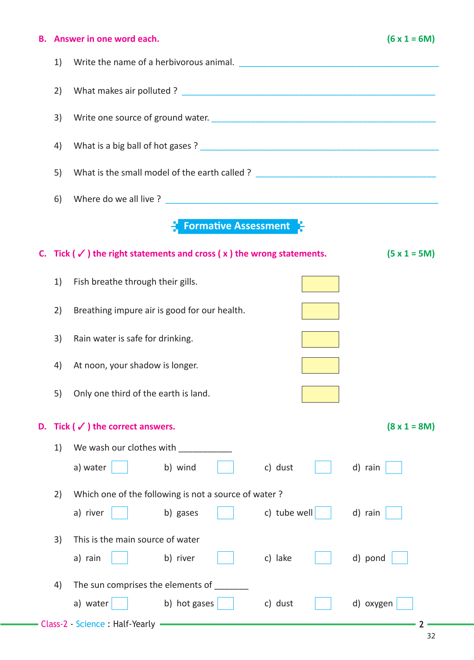## **B.** Answer in one word each. (6 x 1 = 6M)

| 1) |                                                                                       |                     |  |  |  |
|----|---------------------------------------------------------------------------------------|---------------------|--|--|--|
| 2) |                                                                                       |                     |  |  |  |
| 3) |                                                                                       |                     |  |  |  |
| 4) |                                                                                       |                     |  |  |  |
| 5) | What is the small model of the earth called ? __________________________________      |                     |  |  |  |
| 6) |                                                                                       |                     |  |  |  |
|    | <b>Formative Assessment</b>                                                           |                     |  |  |  |
|    | C. Tick ( $\checkmark$ ) the right statements and cross ( $x$ ) the wrong statements. | $(5 x 1 = 5M)$      |  |  |  |
| 1) | Fish breathe through their gills.                                                     |                     |  |  |  |
| 2) | Breathing impure air is good for our health.                                          |                     |  |  |  |
| 3) | Rain water is safe for drinking.                                                      |                     |  |  |  |
| 4) | At noon, your shadow is longer.                                                       |                     |  |  |  |
| 5) | Only one third of the earth is land.                                                  |                     |  |  |  |
|    | D. Tick ( $\checkmark$ ) the correct answers.                                         | $(8 \times 1 = 8M)$ |  |  |  |
| 1) | We wash our clothes with                                                              |                     |  |  |  |
|    | a) water<br>c) dust<br>b) wind                                                        | d) rain             |  |  |  |
| 2) | Which one of the following is not a source of water?                                  |                     |  |  |  |
|    | c) tube well<br>a) river<br>b) gases                                                  | d) rain             |  |  |  |
| 3) | This is the main source of water                                                      |                     |  |  |  |
|    | c) lake<br>a) rain<br>b) river                                                        | d) pond             |  |  |  |
| 4) | The sun comprises the elements of                                                     |                     |  |  |  |
|    | b) hot gases<br>a) water<br>c) dust                                                   | d) oxygen           |  |  |  |
|    | - Class-2 - Science : Half-Yearly -                                                   |                     |  |  |  |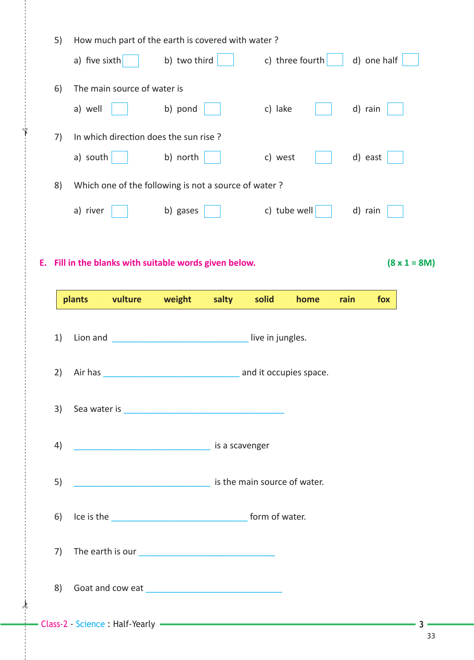|    | 5)                                 | How much part of the earth is covered with water?                                                                                                                                                                                    |              |       |                        |                         |      |             |                     |
|----|------------------------------------|--------------------------------------------------------------------------------------------------------------------------------------------------------------------------------------------------------------------------------------|--------------|-------|------------------------|-------------------------|------|-------------|---------------------|
|    |                                    | a) five sixth                                                                                                                                                                                                                        | b) two third |       |                        | c) three fourth $\vert$ |      | d) one half |                     |
|    | 6)                                 | The main source of water is                                                                                                                                                                                                          |              |       |                        |                         |      |             |                     |
|    |                                    | a) well                                                                                                                                                                                                                              | b) pond      |       | c) lake                |                         |      | d) rain     |                     |
|    | 7)                                 | In which direction does the sun rise?                                                                                                                                                                                                |              |       |                        |                         |      |             |                     |
|    |                                    | a) south                                                                                                                                                                                                                             | b) north     |       | c) west                |                         |      | d) east     |                     |
|    | 8)                                 | Which one of the following is not a source of water?                                                                                                                                                                                 |              |       |                        |                         |      |             |                     |
|    |                                    | a) river                                                                                                                                                                                                                             | b) gases     |       |                        | c) tube well            |      | d) rain     |                     |
|    |                                    |                                                                                                                                                                                                                                      |              |       |                        |                         |      |             |                     |
| Е. |                                    | Fill in the blanks with suitable words given below.                                                                                                                                                                                  |              |       |                        |                         |      |             | $(8 \times 1 = 8M)$ |
|    |                                    |                                                                                                                                                                                                                                      |              |       |                        |                         |      |             |                     |
|    |                                    | plants<br>vulture                                                                                                                                                                                                                    | weight       | salty | solid                  | home                    | rain | fox         |                     |
|    | 1)<br>Lion and<br>live in jungles. |                                                                                                                                                                                                                                      |              |       |                        |                         |      |             |                     |
|    | 2)                                 | Air has                                                                                                                                                                                                                              |              |       | and it occupies space. |                         |      |             |                     |
|    | 3)                                 |                                                                                                                                                                                                                                      |              |       |                        |                         |      |             |                     |
|    | 4)                                 | <b>International Contract Contract Contract Contract Contract Contract Contract Contract Contract Contract Contract Contract Contract Contract Contract Contract Contract Contract Contract Contract Contract Contract Contract </b> |              |       |                        |                         |      |             |                     |
|    | 5)                                 | is the main source of water.                                                                                                                                                                                                         |              |       |                        |                         |      |             |                     |
|    | 6)                                 |                                                                                                                                                                                                                                      |              |       |                        |                         |      |             |                     |
|    | 7)                                 |                                                                                                                                                                                                                                      |              |       |                        |                         |      |             |                     |
|    | 8)                                 |                                                                                                                                                                                                                                      |              |       |                        |                         |      |             |                     |
|    |                                    |                                                                                                                                                                                                                                      |              |       |                        |                         |      |             |                     |

 $\frac{1}{2}$ 

✁